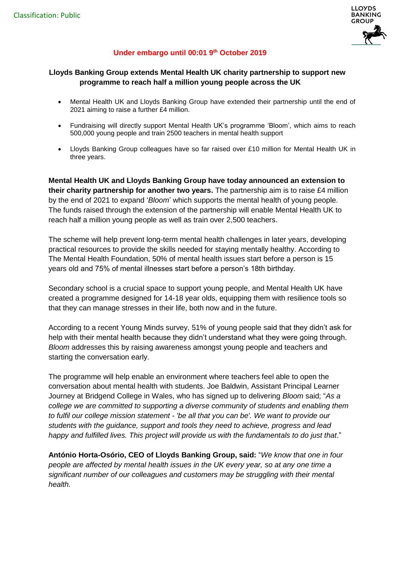

# **Under embargo until 00:01 9 th October 2019**

### **Lloyds Banking Group extends Mental Health UK charity partnership to support new programme to reach half a million young people across the UK**

- Mental Health UK and Lloyds Banking Group have extended their partnership until the end of 2021 aiming to raise a further £4 million.
- Fundraising will directly support Mental Health UK's programme 'Bloom', which aims to reach 500,000 young people and train 2500 teachers in mental health support
- Lloyds Banking Group colleagues have so far raised over £10 million for Mental Health UK in three years.

**Mental Health UK and Lloyds Banking Group have today announced an extension to their charity partnership for another two years.** The partnership aim is to raise £4 million by the end of 2021 to expand '*Bloom*' which supports the mental health of young people. The funds raised through the extension of the partnership will enable Mental Health UK to reach half a million young people as well as train over 2,500 teachers.

The scheme will help prevent long-term mental health challenges in later years, developing practical resources to provide the skills needed for staying mentally healthy. According to The Mental Health Foundation, 50% of mental health issues start before a person is 15 years old and 75% of mental illnesses start before a person's 18th birthday.

Secondary school is a crucial space to support young people, and Mental Health UK have created a programme designed for 14-18 year olds, equipping them with resilience tools so that they can manage stresses in their life, both now and in the future.

According to a recent Young Minds survey, 51% of young people said that they didn't ask for help with their mental health because they didn't understand what they were going through. *Bloom* addresses this by raising awareness amongst young people and teachers and starting the conversation early.

The programme will help enable an environment where teachers feel able to open the conversation about mental health with students. Joe Baldwin, Assistant Principal Learner Journey at Bridgend College in Wales, who has signed up to delivering *Bloom* said; "*As a college we are committed to supporting a diverse community of students and enabling them to fulfil our college mission statement - 'be all that you can be'. We want to provide our students with the guidance, support and tools they need to achieve, progress and lead happy and fulfilled lives. This project will provide us with the fundamentals to do just that*."

**António Horta-Osório, CEO of Lloyds Banking Group, said:** "*We know that one in four people are affected by mental health issues in the UK every year, so at any one time a significant number of our colleagues and customers may be struggling with their mental health.*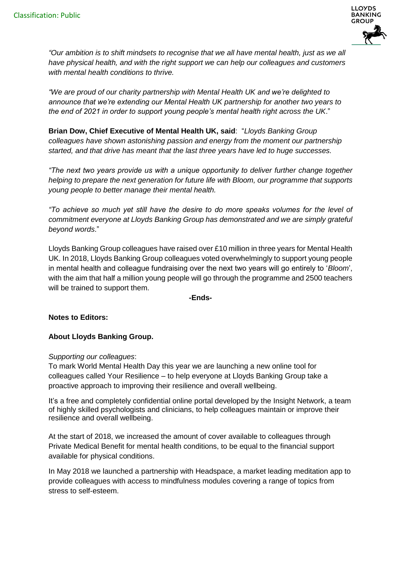

*"Our ambition is to shift mindsets to recognise that we all have mental health, just as we all have physical health, and with the right support we can help our colleagues and customers with mental health conditions to thrive.* 

*"We are proud of our charity partnership with Mental Health UK and we're delighted to announce that we're extending our Mental Health UK partnership for another two years to the end of 2021 in order to support young people's mental health right across the UK*."

**Brian Dow, Chief Executive of Mental Health UK, said**: "*Lloyds Banking Group colleagues have shown astonishing passion and energy from the moment our partnership started, and that drive has meant that the last three years have led to huge successes.* 

*"The next two years provide us with a unique opportunity to deliver further change together helping to prepare the next generation for future life with Bloom, our programme that supports young people to better manage their mental health.*

*"To achieve so much yet still have the desire to do more speaks volumes for the level of commitment everyone at Lloyds Banking Group has demonstrated and we are simply grateful beyond words*."

Lloyds Banking Group colleagues have raised over £10 million in three years for Mental Health UK. In 2018, Lloyds Banking Group colleagues voted overwhelmingly to support young people in mental health and colleague fundraising over the next two years will go entirely to '*Bloom*', with the aim that half a million young people will go through the programme and 2500 teachers will be trained to support them.

**-Ends-**

## **Notes to Editors:**

## **About Lloyds Banking Group.**

#### *Supporting our colleagues*:

To mark World Mental Health Day this year we are launching a new online tool for colleagues called Your Resilience – to help everyone at Lloyds Banking Group take a proactive approach to improving their resilience and overall wellbeing.

It's a free and completely confidential online portal developed by the Insight Network, a team of highly skilled psychologists and clinicians, to help colleagues maintain or improve their resilience and overall wellbeing.

At the start of 2018, we increased the amount of cover available to colleagues through Private Medical Benefit for mental health conditions, to be equal to the financial support available for physical conditions.

In May 2018 we launched a partnership with Headspace, a market leading meditation app to provide colleagues with access to mindfulness modules covering a range of topics from stress to self-esteem.